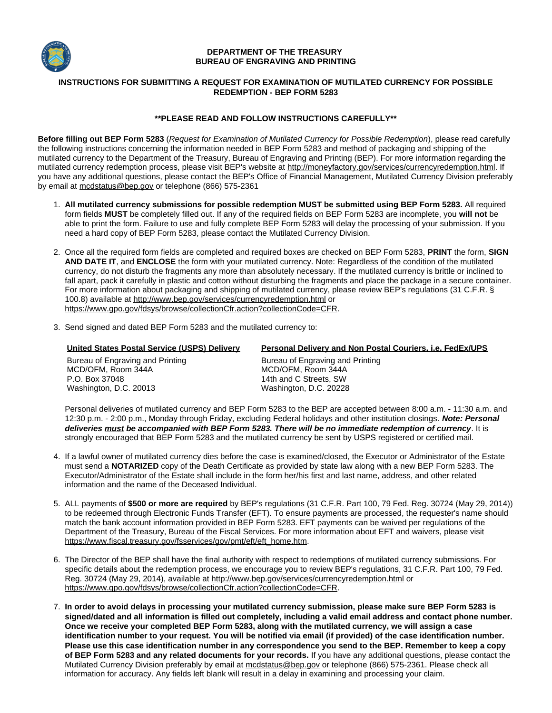

### **DEPARTMENT OF THE TREASURY BUREAU OF ENGRAVING AND PRINTING**

# **INSTRUCTIONS FOR SUBMITTING A REQUEST FOR EXAMINATION OF MUTILATED CURRENCY FOR POSSIBLE REDEMPTION - BEP FORM 5283**

# **\*\*PLEASE READ AND FOLLOW INSTRUCTIONS CAREFULLY\*\***

**Before filling out BEP Form 5283** (Request for Examination of Mutilated Currency for Possible Redemption), please read carefully the following instructions concerning the information needed in BEP Form 5283 and method of packaging and shipping of the mutilated currency to the Department of the Treasury, Bureau of Engraving and Printing (BEP). For more information regarding the mutilated currency redemption process, please visit BEP's website at http://moneyfactory.gov/services/currencyredemption.html. If you have any additional questions, please contact the BEP's Office of Financial Management, Mutilated Currency Division preferably by email at mcdstatus@bep.gov or telephone (866) 575-2361

- 1. **All mutilated currency submissions for possible redemption MUST be submitted using BEP Form 5283.** All required form fields **MUST** be completely filled out. If any of the required fields on BEP Form 5283 are incomplete, you **will not** be able to print the form. Failure to use and fully complete BEP Form 5283 will delay the processing of your submission. If you need a hard copy of BEP Form 5283, please contact the Mutilated Currency Division.
- 2. Once all the required form fields are completed and required boxes are checked on BEP Form 5283, **PRINT** the form, **SIGN AND DATE IT** , and **ENCLOSE** the form with your mutilated currency. Note: Regardless of the condition of the mutilated currency, do not disturb the fragments any more than absolutely necessary. If the mutilated currency is brittle or inclined to fall apart, pack it carefully in plastic and cotton without disturbing the fragments and place the package in a secure container. For more information about packaging and shipping of mutilated currency, please review BEP's regulations (31 C.F.R. § 100.8) available at http://www.bep.gov/services/currencyredemption.html or https://www.gpo.gov/fdsys/browse/collectionCfr.action?collectionCode=CFR.
- 3. Send signed and dated BEP Form 5283 and the mutilated currency to:

| <b>United States Postal Service (USPS) Delivery</b> | Personal Delivery and Non Postal Couriers, i.e. FedEx/UPS |
|-----------------------------------------------------|-----------------------------------------------------------|
| Bureau of Engraving and Printing                    | Bureau of Engraving and Printing                          |
| MCD/OFM, Room 344A                                  | MCD/OFM, Room 344A                                        |
| P.O. Box 37048                                      | 14th and C Streets, SW                                    |
| Washington, D.C. 20013                              | Washington, D.C. 20228                                    |

Personal deliveries of mutilated currency and BEP Form 5283 to the BEP are accepted between 8:00 a.m. - 11:30 a.m. and 12:30 p.m. - 2:00 p.m., Monday through Friday, excluding Federal holidays and other institution closings. **Note: Personal deliveries must be accompanied with BEP Form 5283. There will be no immediate redemption of currency** . It is strongly encouraged that BEP Form 5283 and the mutilated currency be sent by USPS registered or certified mail.

- 4. If a lawful owner of mutilated currency dies before the case is examined/closed, the Executor or Administrator of the Estate must send a **NOTARIZED** copy of the Death Certificate as provided by state law along with a new BEP Form 5283. The Executor/Administrator of the Estate shall include in the form her/his first and last name, address, and other related information and the name of the Deceased Individual.
- 5. ALL payments of **\$500 or more are required** by BEP's regulations (31 C.F.R. Part 100, 79 Fed. Reg. 30724 (May 29, 2014)) to be redeemed through Electronic Funds Transfer (EFT). To ensure payments are processed, the requester's name should match the bank account information provided in BEP Form 5283. EFT payments can be waived per regulations of the Department of the Treasury, Bureau of the Fiscal Services. For more information about EFT and waivers, please visit https://www.fiscal.treasury.gov/fsservices/gov/pmt/eft/eft\_home.htm.
- 6. The Director of the BEP shall have the final authority with respect to redemptions of mutilated currency submissions. For specific details about the redemption process, we encourage you to review BEP's regulations, 31 C.F.R. Part 100, 79 Fed. Reg. 30724 (May 29, 2014), available at http://www.bep.gov/services/currencyredemption.html or https://www.gpo.gov/fdsys/browse/collectionCfr.action?collectionCode=CFR.
- 7. **In order to avoid delays in processing your mutilated currency submission, please make sure BEP Form 5283 is signed/dated and all information is filled out completely, including a valid email address and contact phone number. Once we receive your completed BEP Form 5283, along with the mutilated currency, we will assign a case identification number to your request. You will be notified via email (if provided) of the case identification number. Please use this case identification number in any correspondence you send to the BEP. Remember to keep a copy of BEP Form 5283 and any related documents for your records.** If you have any additional questions, please contact the Mutilated Currency Division preferably by email at mcdstatus@bep.gov or telephone (866) 575-2361. Please check all information for accuracy. Any fields left blank will result in a delay in examining and processing your claim.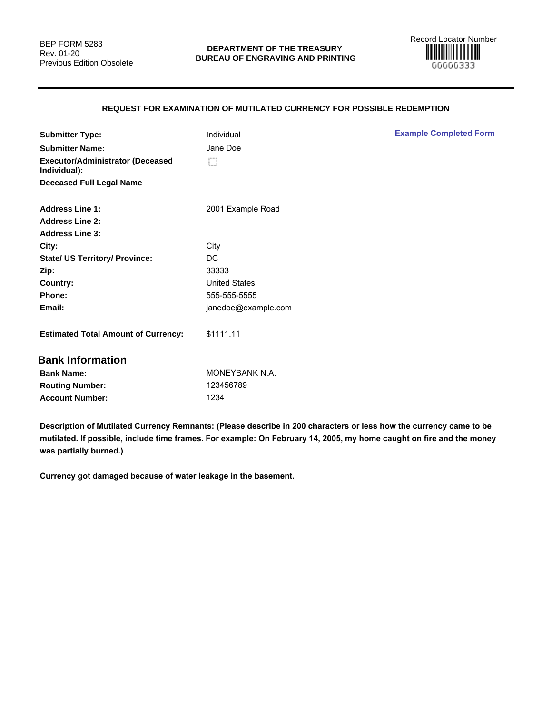

# **REQUEST FOR EXAMINATION OF MUTILATED CURRENCY FOR POSSIBLE REDEMPTION**

| <b>Submitter Type:</b>                                  | Individual           | <b>Example Completed Form</b> |
|---------------------------------------------------------|----------------------|-------------------------------|
| <b>Submitter Name:</b>                                  | Jane Doe             |                               |
| <b>Executor/Administrator (Deceased</b><br>Individual): | O                    |                               |
| <b>Deceased Full Legal Name</b>                         |                      |                               |
| <b>Address Line 1:</b>                                  | 2001 Example Road    |                               |
| <b>Address Line 2:</b>                                  |                      |                               |
| <b>Address Line 3:</b>                                  |                      |                               |
| City:                                                   | City                 |                               |
| <b>State/ US Territory/ Province:</b>                   | DC                   |                               |
| Zip:                                                    | 33333                |                               |
| Country:                                                | <b>United States</b> |                               |
| Phone:                                                  | 555-555-5555         |                               |
| Email:                                                  | janedoe@example.com  |                               |
| <b>Estimated Total Amount of Currency:</b>              | \$1111.11            |                               |
| <b>Bank Information</b>                                 |                      |                               |
| <b>Bank Name:</b>                                       | MONEYBANK N.A.       |                               |
| <b>Routing Number:</b>                                  | 123456789            |                               |
| <b>Account Number:</b>                                  | 1234                 |                               |
|                                                         |                      |                               |

**Description of Mutilated Currency Remnants: (Please describe in 200 characters or less how the currency came to be mutilated. If possible, include time frames. For example: On February 14, 2005, my home caught on fire and the money was partially burned.)**

**Currency got damaged because of water leakage in the basement.**